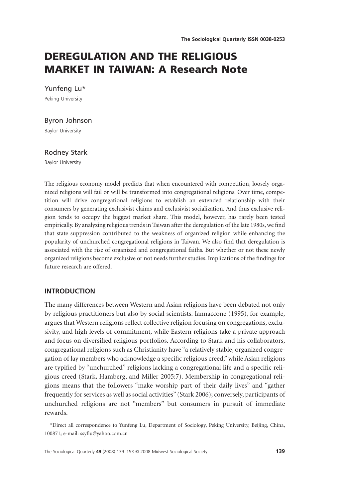# **DEREGULATION AND THE RELIGIOUS MARKET IN TAIWAN: A Research Note**

Yunfeng Lu\*

Peking University

### Byron Johnson

Baylor University

## Rodney Stark

Baylor University

The religious economy model predicts that when encountered with competition, loosely organized religions will fail or will be transformed into congregational religions. Over time, competition will drive congregational religions to establish an extended relationship with their consumers by generating exclusivist claims and exclusivist socialization. And thus exclusive religion tends to occupy the biggest market share. This model, however, has rarely been tested empirically. By analyzing religious trends in Taiwan after the deregulation of the late 1980s, we find that state suppression contributed to the weakness of organized religion while enhancing the popularity of unchurched congregational religions in Taiwan. We also find that deregulation is associated with the rise of organized and congregational faiths. But whether or not these newly organized religions become exclusive or not needs further studies. Implications of the findings for future research are offered.

#### **INTRODUCTION**

The many differences between Western and Asian religions have been debated not only by religious practitioners but also by social scientists. Iannaccone (1995), for example, argues that Western religions reflect collective religion focusing on congregations, exclusivity, and high levels of commitment, while Eastern religions take a private approach and focus on diversified religious portfolios. According to Stark and his collaborators, congregational religions such as Christianity have "a relatively stable, organized congregation of lay members who acknowledge a specific religious creed," while Asian religions are typified by "unchurched" religions lacking a congregational life and a specific religious creed (Stark, Hamberg, and Miller 2005:7). Membership in congregational religions means that the followers "make worship part of their daily lives" and "gather frequently for services as well as social activities" (Stark 2006); conversely, participants of unchurched religions are not "members" but consumers in pursuit of immediate rewards.

\*Direct all correspondence to Yunfeng Lu, Department of Sociology, Peking University, Beijing, China, 100871; e-mail: [ssyflu@yahoo.com.cn](mailto:ssyflu@yahoo.com.cn)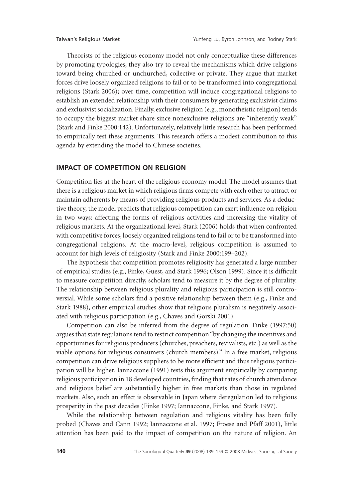Theorists of the religious economy model not only conceptualize these differences by promoting typologies, they also try to reveal the mechanisms which drive religions toward being churched or unchurched, collective or private. They argue that market forces drive loosely organized religions to fail or to be transformed into congregational religions (Stark 2006); over time, competition will induce congregational religions to establish an extended relationship with their consumers by generating exclusivist claims and exclusivist socialization. Finally, exclusive religion (e.g., monotheistic religion) tends to occupy the biggest market share since nonexclusive religions are "inherently weak" (Stark and Finke 2000:142). Unfortunately, relatively little research has been performed to empirically test these arguments. This research offers a modest contribution to this agenda by extending the model to Chinese societies.

# **IMPACT OF COMPETITION ON RELIGION**

Competition lies at the heart of the religious economy model. The model assumes that there is a religious market in which religious firms compete with each other to attract or maintain adherents by means of providing religious products and services. As a deductive theory, the model predicts that religious competition can exert influence on religion in two ways: affecting the forms of religious activities and increasing the vitality of religious markets. At the organizational level, Stark (2006) holds that when confronted with competitive forces, loosely organized religions tend to fail or to be transformed into congregational religions. At the macro-level, religious competition is assumed to account for high levels of religiosity (Stark and Finke 2000:199–202).

The hypothesis that competition promotes religiosity has generated a large number of empirical studies (e.g., Finke, Guest, and Stark 1996; Olson 1999). Since it is difficult to measure competition directly, scholars tend to measure it by the degree of plurality. The relationship between religious plurality and religious participation is still controversial. While some scholars find a positive relationship between them (e.g., Finke and Stark 1988), other empirical studies show that religious pluralism is negatively associated with religious participation (e.g., Chaves and Gorski 2001).

Competition can also be inferred from the degree of regulation. Finke (1997:50) argues that state regulations tend to restrict competition "by changing the incentives and opportunities for religious producers (churches, preachers, revivalists, etc.) as well as the viable options for religious consumers (church members)." In a free market, religious competition can drive religious suppliers to be more efficient and thus religious participation will be higher. Iannaccone (1991) tests this argument empirically by comparing religious participation in 18 developed countries, finding that rates of church attendance and religious belief are substantially higher in free markets than those in regulated markets. Also, such an effect is observable in Japan where deregulation led to religious prosperity in the past decades (Finke 1997; Iannaccone, Finke, and Stark 1997).

While the relationship between regulation and religious vitality has been fully probed (Chaves and Cann 1992; Iannaccone et al. 1997; Froese and Pfaff 2001), little attention has been paid to the impact of competition on the nature of religion. An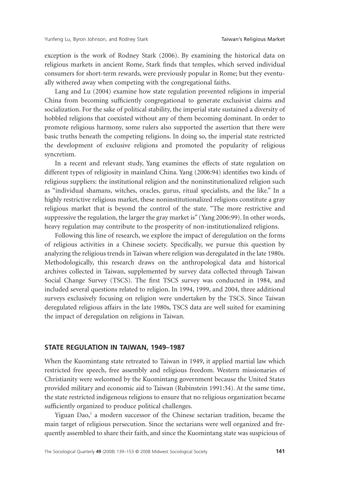exception is the work of Rodney Stark (2006). By examining the historical data on religious markets in ancient Rome, Stark finds that temples, which served individual consumers for short-term rewards, were previously popular in Rome; but they eventually withered away when competing with the congregational faiths.

Lang and Lu (2004) examine how state regulation prevented religions in imperial China from becoming sufficiently congregational to generate exclusivist claims and socialization. For the sake of political stability, the imperial state sustained a diversity of hobbled religions that coexisted without any of them becoming dominant. In order to promote religious harmony, some rulers also supported the assertion that there were basic truths beneath the competing religions. In doing so, the imperial state restricted the development of exclusive religions and promoted the popularity of religious syncretism.

In a recent and relevant study, Yang examines the effects of state regulation on different types of religiosity in mainland China. Yang (2006:94) identifies two kinds of religious suppliers: the institutional religion and the noninstitutionalized religion such as "individual shamans, witches, oracles, gurus, ritual specialists, and the like." In a highly restrictive religious market, these noninstitutionalized religions constitute a gray religious market that is beyond the control of the state. "The more restrictive and suppressive the regulation, the larger the gray market is" (Yang 2006:99). In other words, heavy regulation may contribute to the prosperity of non-institutionalized religions.

Following this line of research, we explore the impact of deregulation on the forms of religious activities in a Chinese society. Specifically, we pursue this question by analyzing the religious trends in Taiwan where religion was deregulated in the late 1980s. Methodologically, this research draws on the anthropological data and historical archives collected in Taiwan, supplemented by survey data collected through Taiwan Social Change Survey (TSCS). The first TSCS survey was conducted in 1984, and included several questions related to religion. In 1994, 1999, and 2004, three additional surveys exclusively focusing on religion were undertaken by the TSCS. Since Taiwan deregulated religious affairs in the late 1980s, TSCS data are well suited for examining the impact of deregulation on religions in Taiwan.

#### **STATE REGULATION IN TAIWAN, 1949–1987**

When the Kuomintang state retreated to Taiwan in 1949, it applied martial law which restricted free speech, free assembly and religious freedom. Western missionaries of Christianity were welcomed by the Kuomintang government because the United States provided military and economic aid to Taiwan (Rubinstein 1991:34). At the same time, the state restricted indigenous religions to ensure that no religious organization became sufficiently organized to produce political challenges.

Yiguan  $Dao<sub>i</sub><sup>1</sup>$  a modern successor of the Chinese sectarian tradition, became the main target of religious persecution. Since the sectarians were well organized and frequently assembled to share their faith, and since the Kuomintang state was suspicious of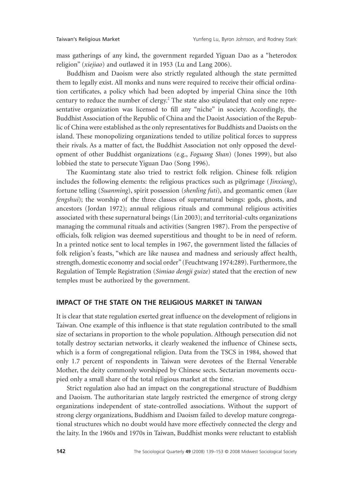mass gatherings of any kind, the government regarded Yiguan Dao as a "heterodox religion" (*xiejiao*) and outlawed it in 1953 (Lu and Lang 2006).

Buddhism and Daoism were also strictly regulated although the state permitted them to legally exist. All monks and nuns were required to receive their official ordination certificates, a policy which had been adopted by imperial China since the 10th century to reduce the number of clergy.<sup>2</sup> The state also stipulated that only one representative organization was licensed to fill any "niche" in society. Accordingly, the Buddhist Association of the Republic of China and the Daoist Association of the Republic of China were established as the only representatives for Buddhists and Daoists on the island. These monopolizing organizations tended to utilize political forces to suppress their rivals. As a matter of fact, the Buddhist Association not only opposed the development of other Buddhist organizations (e.g., *Foguang Shan*) (Jones 1999), but also lobbied the state to persecute Yiguan Dao (Song 1996).

The Kuomintang state also tried to restrict folk religion. Chinese folk religion includes the following elements: the religious practices such as pilgrimage (*Jinxiang*), fortune telling (*Suanming*), spirit possession (*shenling futi*), and geomantic omen (*kan fengshui*); the worship of the three classes of supernatural beings: gods, ghosts, and ancestors (Jordan 1972); annual religious rituals and communal religious activities associated with these supernatural beings (Lin 2003); and territorial-cults organizations managing the communal rituals and activities (Sangren 1987). From the perspective of officials, folk religion was deemed superstitious and thought to be in need of reform. In a printed notice sent to local temples in 1967, the government listed the fallacies of folk religion's feasts, "which are like nausea and madness and seriously affect health, strength, domestic economy and social order" (Feuchtwang 1974:289). Furthermore, the Regulation of Temple Registration (*Simiao dengji guize*) stated that the erection of new temples must be authorized by the government.

# **IMPACT OF THE STATE ON THE RELIGIOUS MARKET IN TAIWAN**

It is clear that state regulation exerted great influence on the development of religions in Taiwan. One example of this influence is that state regulation contributed to the small size of sectarians in proportion to the whole population. Although persecution did not totally destroy sectarian networks, it clearly weakened the influence of Chinese sects, which is a form of congregational religion. Data from the TSCS in 1984, showed that only 1.7 percent of respondents in Taiwan were devotees of the Eternal Venerable Mother, the deity commonly worshiped by Chinese sects. Sectarian movements occupied only a small share of the total religious market at the time.

Strict regulation also had an impact on the congregational structure of Buddhism and Daoism. The authoritarian state largely restricted the emergence of strong clergy organizations independent of state-controlled associations. Without the support of strong clergy organizations, Buddhism and Daoism failed to develop mature congregational structures which no doubt would have more effectively connected the clergy and the laity. In the 1960s and 1970s in Taiwan, Buddhist monks were reluctant to establish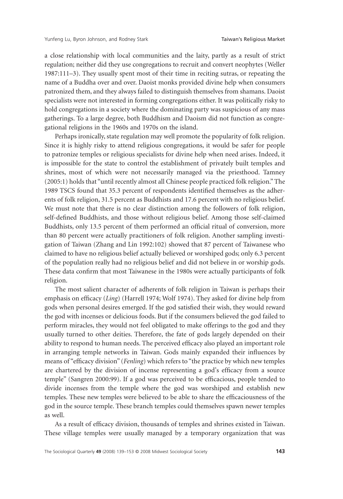a close relationship with local communities and the laity, partly as a result of strict regulation; neither did they use congregations to recruit and convert neophytes (Weller 1987:111–3). They usually spent most of their time in reciting sutras, or repeating the name of a Buddha over and over. Daoist monks provided divine help when consumers patronized them, and they always failed to distinguish themselves from shamans. Daoist specialists were not interested in forming congregations either. It was politically risky to hold congregations in a society where the dominating party was suspicious of any mass gatherings. To a large degree, both Buddhism and Daoism did not function as congregational religions in the 1960s and 1970s on the island.

Perhaps ironically, state regulation may well promote the popularity of folk religion. Since it is highly risky to attend religious congregations, it would be safer for people to patronize temples or religious specialists for divine help when need arises. Indeed, it is impossible for the state to control the establishment of privately built temples and shrines, most of which were not necessarily managed via the priesthood. Tamney (2005:1) holds that "until recently almost all Chinese people practiced folk religion." The 1989 TSCS found that 35.3 percent of respondents identified themselves as the adherents of folk religion, 31.5 percent as Buddhists and 17.6 percent with no religious belief. We must note that there is no clear distinction among the followers of folk religion, self-defined Buddhists, and those without religious belief. Among those self-claimed Buddhists, only 13.5 percent of them performed an official ritual of conversion, more than 80 percent were actually practitioners of folk religion. Another sampling investigation of Taiwan (Zhang and Lin 1992:102) showed that 87 percent of Taiwanese who claimed to have no religious belief actually believed or worshiped gods; only 6.3 percent of the population really had no religious belief and did not believe in or worship gods. These data confirm that most Taiwanese in the 1980s were actually participants of folk religion.

The most salient character of adherents of folk religion in Taiwan is perhaps their emphasis on efficacy (*Ling*) (Harrell 1974; Wolf 1974). They asked for divine help from gods when personal desires emerged. If the god satisfied their wish, they would reward the god with incenses or delicious foods. But if the consumers believed the god failed to perform miracles, they would not feel obligated to make offerings to the god and they usually turned to other deities. Therefore, the fate of gods largely depended on their ability to respond to human needs. The perceived efficacy also played an important role in arranging temple networks in Taiwan. Gods mainly expanded their influences by means of "efficacy division" (*Fenling*) which refers to "the practice by which new temples are chartered by the division of incense representing a god's efficacy from a source temple" (Sangren 2000:99). If a god was perceived to be efficacious, people tended to divide incenses from the temple where the god was worshiped and establish new temples. These new temples were believed to be able to share the efficaciousness of the god in the source temple. These branch temples could themselves spawn newer temples as well.

As a result of efficacy division, thousands of temples and shrines existed in Taiwan. These village temples were usually managed by a temporary organization that was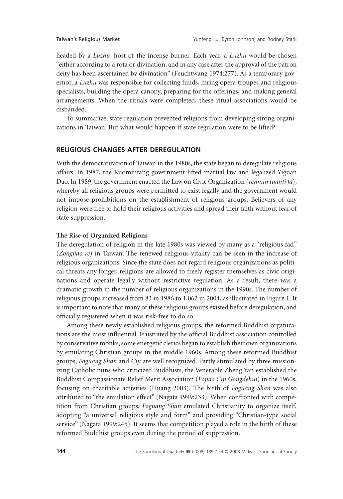headed by a *Luzhu*, host of the incense burner. Each year, a *Luzhu* would be chosen "either according to a rota or divination, and in any case after the approval of the patron deity has been ascertained by divination" (Feuchtwang 1974:277). As a temporary governor, a *Luzhu* was responsible for collecting funds, hiring opera troupes and religious specialists, building the opera canopy, preparing for the offerings, and making general arrangements. When the rituals were completed, these ritual associations would be disbanded.

To summarize, state regulation prevented religions from developing strong organizations in Taiwan. But what would happen if state regulation were to be lifted?

#### **RELIGIOUS CHANGES AFTER DEREGULATION**

With the democratization of Taiwan in the 1980s, the state began to deregulate religious affairs. In 1987, the Kuomintang government lifted martial law and legalized Yiguan Dao. In 1989, the government enacted the Law on Civic Organization (*renmin tuanti fa*), whereby all religious groups were permitted to exist legally and the government would not impose prohibitions on the establishment of religious groups. Believers of any religion were free to hold their religious activities and spread their faith without fear of state suppression.

#### **The Rise of Organized Religions**

The deregulation of religion in the late 1980s was viewed by many as a "religious fad" (*Zongjiao re*) in Taiwan. The renewed religious vitality can be seen in the increase of religious organizations. Since the state does not regard religious organizations as political threats any longer, religions are allowed to freely register themselves as civic originations and operate legally without restrictive regulation. As a result, there was a dramatic growth in the number of religious organizations in the 1990s. The number of religious groups increased from 83 in 1986 to 1,062 in 2004, as illustrated in Figure 1. It is important to note that many of these religious groups existed before deregulation, and officially registered when it was risk-free to do so.

Among these newly established religious groups, the reformed Buddhist organizations are the most influential. Frustrated by the official Buddhist association controlled by conservative monks, some energetic clerics began to establish their own organizations by emulating Christian groups in the middle 1960s. Among these reformed Buddhist groups, *Foguang Shan* and *Ciji* are well recognized. Partly stimulated by three missionizing Catholic nuns who criticized Buddhists, the Venerable Zheng Yan established the Buddhist Compassionate Relief Merit Association (*Fojiao Ciji Gongdehui*) in the 1960s, focusing on charitable activities (Huang 2003). The birth of *Foguang Shan* was also attributed to "the emulation effect" (Nagata 1999:233). When confronted with competition from Christian groups, *Foguang Shan* emulated Christianity to organize itself, adopting "a universal religious style and form" and providing "Christian-type social service" (Nagata 1999:245). It seems that competition played a role in the birth of these reformed Buddhist groups even during the period of suppression.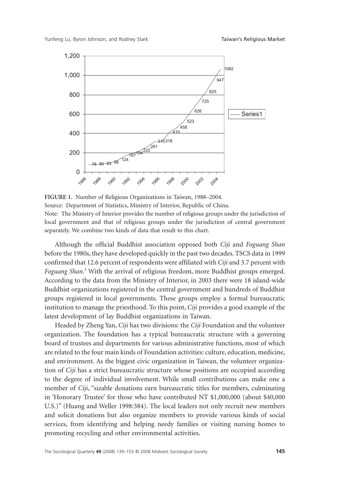

**FIGURE 1.** Number of Religious Organizations in Taiwan, 1988–2004. Source: Department of Statistics, Ministry of Interior, Republic of China. Note: The Ministry of Interior provides the number of religious groups under the jurisdiction of local government and that of religious groups under the jurisdiction of central government separately. We combine two kinds of data that result to this chart.

Although the official Buddhist association opposed both *Ciji* and *Foguang Shan* before the 1980s, they have developed quickly in the past two decades. TSCS data in 1999 confirmed that 12.6 percent of respondents were affiliated with *Ciji* and 3.7 percent with *Foguang Shan*. <sup>3</sup> With the arrival of religious freedom, more Buddhist groups emerged. According to the data from the Ministry of Interior, in 2003 there were 18 island-wide Buddhist organizations registered in the central government and hundreds of Buddhist groups registered in local governments. These groups employ a formal bureaucratic institution to manage the priesthood. To this point, *Ciji* provides a good example of the latest development of lay Buddhist organizations in Taiwan.

Headed by Zheng Yan, *Ciji* has two divisions: the *Ciji* Foundation and the volunteer organization. The foundation has a typical bureaucratic structure with a governing board of trustees and departments for various administrative functions, most of which are related to the four main kinds of Foundation activities: culture, education, medicine, and environment. As the biggest civic organization in Taiwan, the volunteer organization of *Ciji* has a strict bureaucratic structure whose positions are occupied according to the degree of individual involvement. While small contributions can make one a member of *Ciji*, "sizable donations earn bureaucratic titles for members, culminating in 'Honorary Trustee' for those who have contributed NT \$1,000,000 (about \$40,000 U.S.)" (Huang and Weller 1998:384). The local leaders not only recruit new members and solicit donations but also organize members to provide various kinds of social services, from identifying and helping needy families or visiting nursing homes to promoting recycling and other environmental activities.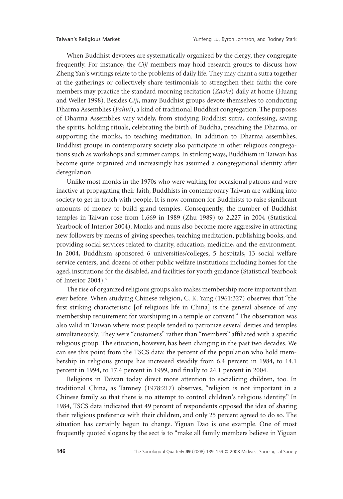When Buddhist devotees are systematically organized by the clergy, they congregate frequently. For instance, the *Ciji* members may hold research groups to discuss how Zheng Yan's writings relate to the problems of daily life. They may chant a sutra together at the gatherings or collectively share testimonials to strengthen their faith; the core members may practice the standard morning recitation (*Zaoke*) daily at home (Huang and Weller 1998). Besides *Ciji*, many Buddhist groups devote themselves to conducting Dharma Assemblies (*Fahui*), a kind of traditional Buddhist congregation. The purposes of Dharma Assemblies vary widely, from studying Buddhist sutra, confessing, saving the spirits, holding rituals, celebrating the birth of Buddha, preaching the Dharma, or supporting the monks, to teaching meditation. In addition to Dharma assemblies, Buddhist groups in contemporary society also participate in other religious congregations such as workshops and summer camps. In striking ways, Buddhism in Taiwan has become quite organized and increasingly has assumed a congregational identity after deregulation.

Unlike most monks in the 1970s who were waiting for occasional patrons and were inactive at propagating their faith, Buddhists in contemporary Taiwan are walking into society to get in touch with people. It is now common for Buddhists to raise significant amounts of money to build grand temples. Consequently, the number of Buddhist temples in Taiwan rose from 1,669 in 1989 (Zhu 1989) to 2,227 in 2004 (Statistical Yearbook of Interior 2004). Monks and nuns also become more aggressive in attracting new followers by means of giving speeches, teaching meditation, publishing books, and providing social services related to charity, education, medicine, and the environment. In 2004, Buddhism sponsored 6 universities/colleges, 5 hospitals, 13 social welfare service centers, and dozens of other public welfare institutions including homes for the aged, institutions for the disabled, and facilities for youth guidance (Statistical Yearbook of Interior 2004).<sup>4</sup>

The rise of organized religious groups also makes membership more important than ever before. When studying Chinese religion, C. K. Yang (1961:327) observes that "the first striking characteristic [of religious life in China] is the general absence of any membership requirement for worshiping in a temple or convent." The observation was also valid in Taiwan where most people tended to patronize several deities and temples simultaneously. They were "customers" rather than "members" affiliated with a specific religious group. The situation, however, has been changing in the past two decades. We can see this point from the TSCS data: the percent of the population who hold membership in religious groups has increased steadily from 6.4 percent in 1984, to 14.1 percent in 1994, to 17.4 percent in 1999, and finally to 24.1 percent in 2004.

Religions in Taiwan today direct more attention to socializing children, too. In traditional China, as Tamney (1978:217) observes, "religion is not important in a Chinese family so that there is no attempt to control children's religious identity." In 1984, TSCS data indicated that 49 percent of respondents opposed the idea of sharing their religious preference with their children, and only 25 percent agreed to do so. The situation has certainly begun to change. Yiguan Dao is one example. One of most frequently quoted slogans by the sect is to "make all family members believe in Yiguan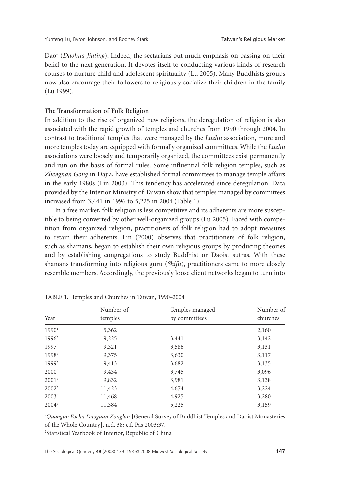Dao" (*Daohua Jiating*). Indeed, the sectarians put much emphasis on passing on their belief to the next generation. It devotes itself to conducting various kinds of research courses to nurture child and adolescent spirituality (Lu 2005). Many Buddhists groups now also encourage their followers to religiously socialize their children in the family (Lu 1999).

#### **The Transformation of Folk Religion**

In addition to the rise of organized new religions, the deregulation of religion is also associated with the rapid growth of temples and churches from 1990 through 2004. In contrast to traditional temples that were managed by the *Luzhu* association, more and more temples today are equipped with formally organized committees. While the *Luzhu* associations were loosely and temporarily organized, the committees exist permanently and run on the basis of formal rules. Some influential folk religion temples, such as *Zhengnan Gong* in Dajia, have established formal committees to manage temple affairs in the early 1980s (Lin 2003). This tendency has accelerated since deregulation. Data provided by the Interior Ministry of Taiwan show that temples managed by committees increased from 3,441 in 1996 to 5,225 in 2004 (Table 1).

In a free market, folk religion is less competitive and its adherents are more susceptible to being converted by other well-organized groups (Lu 2005). Faced with competition from organized religion, practitioners of folk religion had to adopt measures to retain their adherents. Lin (2000) observes that practitioners of folk religion, such as shamans, began to establish their own religious groups by producing theories and by establishing congregations to study Buddhist or Daoist sutras. With these shamans transforming into religious guru (*Shifu*), practitioners came to more closely resemble members. Accordingly, the previously loose client networks began to turn into

| Year              | Number of<br>temples | Temples managed<br>by committees | Number of<br>churches |
|-------------------|----------------------|----------------------------------|-----------------------|
|                   |                      |                                  |                       |
| $1996^{\rm b}$    | 9,225                | 3,441                            | 3,142                 |
| 1997 <sup>b</sup> | 9,321                | 3,586                            | 3,131                 |
| 1998 <sup>b</sup> | 9,375                | 3,630                            | 3,117                 |
| 1999 <sup>b</sup> | 9,413                | 3,682                            | 3,135                 |
| 2000 <sup>b</sup> | 9,434                | 3,745                            | 3,096                 |
| $2001^{\rm b}$    | 9,832                | 3,981                            | 3,138                 |
| 2002 <sup>b</sup> | 11,423               | 4,674                            | 3,224                 |
| 2003 <sup>b</sup> | 11,468               | 4,925                            | 3,280                 |
| $2004^{\rm b}$    | 11,384               | 5,225                            | 3,159                 |

**TABLE 1.** Temples and Churches in Taiwan, 1990–2004

a *Quanguo Focha Daoguan Zonglan* [General Survey of Buddhist Temples and Daoist Monasteries of the Whole Country], n.d. 38; c.f. Pas 2003:37.

2 Statistical Yearbook of Interior, Republic of China.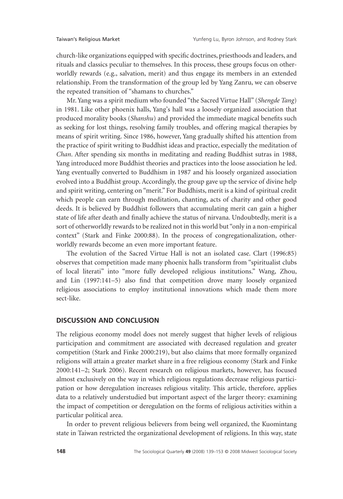church-like organizations equipped with specific doctrines, priesthoods and leaders, and rituals and classics peculiar to themselves. In this process, these groups focus on otherworldly rewards (e.g., salvation, merit) and thus engage its members in an extended relationship. From the transformation of the group led by Yang Zanru, we can observe the repeated transition of "shamans to churches."

Mr. Yang was a spirit medium who founded "the Sacred Virtue Hall" (*Shengde Tang*) in 1981. Like other phoenix halls, Yang's hall was a loosely organized association that produced morality books (*Shanshu*) and provided the immediate magical benefits such as seeking for lost things, resolving family troubles, and offering magical therapies by means of spirit writing. Since 1986, however, Yang gradually shifted his attention from the practice of spirit writing to Buddhist ideas and practice, especially the meditation of *Chan*. After spending six months in meditating and reading Buddhist sutras in 1988, Yang introduced more Buddhist theories and practices into the loose association he led. Yang eventually converted to Buddhism in 1987 and his loosely organized association evolved into a Buddhist group. Accordingly, the group gave up the service of divine help and spirit writing, centering on "merit." For Buddhists, merit is a kind of spiritual credit which people can earn through meditation, chanting, acts of charity and other good deeds. It is believed by Buddhist followers that accumulating merit can gain a higher state of life after death and finally achieve the status of nirvana. Undoubtedly, merit is a sort of otherworldly rewards to be realized not in this world but "only in a non-empirical context" (Stark and Finke 2000:88). In the process of congregationalization, otherworldly rewards become an even more important feature.

The evolution of the Sacred Virtue Hall is not an isolated case. Clart (1996:85) observes that competition made many phoenix halls transform from "spiritualist clubs of local literati" into "more fully developed religious institutions." Wang, Zhou, and Lin (1997:141–5) also find that competition drove many loosely organized religious associations to employ institutional innovations which made them more sect-like.

#### **DISCUSSION AND CONCLUSION**

The religious economy model does not merely suggest that higher levels of religious participation and commitment are associated with decreased regulation and greater competition (Stark and Finke 2000:219), but also claims that more formally organized religions will attain a greater market share in a free religious economy (Stark and Finke 2000:141–2; Stark 2006). Recent research on religious markets, however, has focused almost exclusively on the way in which religious regulations decrease religious participation or how deregulation increases religious vitality. This article, therefore, applies data to a relatively understudied but important aspect of the larger theory: examining the impact of competition or deregulation on the forms of religious activities within a particular political area.

In order to prevent religious believers from being well organized, the Kuomintang state in Taiwan restricted the organizational development of religions. In this way, state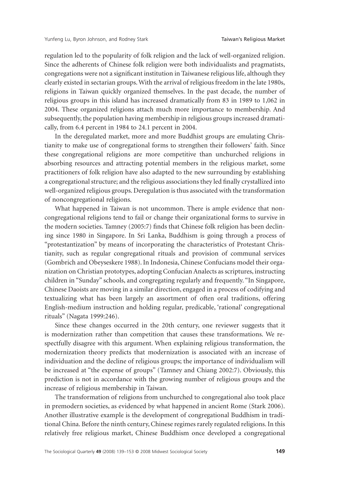regulation led to the popularity of folk religion and the lack of well-organized religion. Since the adherents of Chinese folk religion were both individualists and pragmatists, congregations were not a significant institution in Taiwanese religious life, although they clearly existed in sectarian groups.With the arrival of religious freedom in the late 1980s, religions in Taiwan quickly organized themselves. In the past decade, the number of religious groups in this island has increased dramatically from 83 in 1989 to 1,062 in 2004. These organized religions attach much more importance to membership. And subsequently, the population having membership in religious groups increased dramatically, from 6.4 percent in 1984 to 24.1 percent in 2004.

In the deregulated market, more and more Buddhist groups are emulating Christianity to make use of congregational forms to strengthen their followers' faith. Since these congregational religions are more competitive than unchurched religions in absorbing resources and attracting potential members in the religious market, some practitioners of folk religion have also adapted to the new surrounding by establishing a congregational structure; and the religious associations they led finally crystallized into well-organized religious groups. Deregulation is thus associated with the transformation of noncongregational religions.

What happened in Taiwan is not uncommon. There is ample evidence that noncongregational religions tend to fail or change their organizational forms to survive in the modern societies. Tamney (2005:7) finds that Chinese folk religion has been declining since 1980 in Singapore. In Sri Lanka, Buddhism is going through a process of "protestantization" by means of incorporating the characteristics of Protestant Christianity, such as regular congregational rituals and provision of communal services (Gombrich and Obeyseskere 1988). In Indonesia, Chinese Confucians model their organization on Christian prototypes, adopting Confucian Analects as scriptures, instructing children in "Sunday" schools, and congregating regularly and frequently. "In Singapore, Chinese Daoists are moving in a similar direction, engaged in a process of codifying and textualizing what has been largely an assortment of often oral traditions, offering English-medium instruction and holding regular, predicable, 'rational' congregational rituals" (Nagata 1999:246).

Since these changes occurred in the 20th century, one reviewer suggests that it is modernization rather than competition that causes these transformations. We respectfully disagree with this argument. When explaining religious transformation, the modernization theory predicts that modernization is associated with an increase of individuation and the decline of religious groups; the importance of individualism will be increased at "the expense of groups" (Tamney and Chiang 2002:7). Obviously, this prediction is not in accordance with the growing number of religious groups and the increase of religious membership in Taiwan.

The transformation of religions from unchurched to congregational also took place in premodern societies, as evidenced by what happened in ancient Rome (Stark 2006). Another illustrative example is the development of congregational Buddhism in traditional China. Before the ninth century, Chinese regimes rarely regulated religions. In this relatively free religious market, Chinese Buddhism once developed a congregational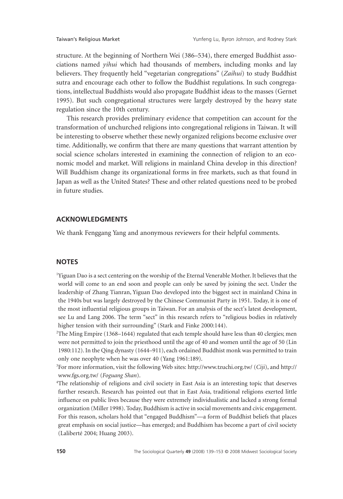structure. At the beginning of Northern Wei (386–534), there emerged Buddhist associations named *yihui* which had thousands of members, including monks and lay believers. They frequently held "vegetarian congregations" (*Zaihui*) to study Buddhist sutra and encourage each other to follow the Buddhist regulations. In such congregations, intellectual Buddhists would also propagate Buddhist ideas to the masses (Gernet 1995). But such congregational structures were largely destroyed by the heavy state regulation since the 10th century.

This research provides preliminary evidence that competition can account for the transformation of unchurched religions into congregational religions in Taiwan. It will be interesting to observe whether these newly organized religions become exclusive over time. Additionally, we confirm that there are many questions that warrant attention by social science scholars interested in examining the connection of religion to an economic model and market. Will religions in mainland China develop in this direction? Will Buddhism change its organizational forms in free markets, such as that found in Japan as well as the United States? These and other related questions need to be probed in future studies.

# **ACKNOWLEDGMENTS**

We thank Fenggang Yang and anonymous reviewers for their helpful comments.

## **NOTES**

<sup>1</sup>Yiguan Dao is a sect centering on the worship of the Eternal Venerable Mother. It believes that the world will come to an end soon and people can only be saved by joining the sect. Under the leadership of Zhang Tianran, Yiguan Dao developed into the biggest sect in mainland China in the 1940s but was largely destroyed by the Chinese Communist Party in 1951. Today, it is one of the most influential religious groups in Taiwan. For an analysis of the sect's latest development, see Lu and Lang 2006. The term "sect" in this research refers to "religious bodies in relatively higher tension with their surrounding" (Stark and Finke 2000:144).

2 The Ming Empire (1368–1644) regulated that each temple should have less than 40 clergies; men were not permitted to join the priesthood until the age of 40 and women until the age of 50 (Lin 1980:112). In the Qing dynasty (1644–911), each ordained Buddhist monk was permitted to train only one neophyte when he was over 40 (Yang 1961:189).

3 For more information, visit the following Web sites: [http://www.tzuchi.org.tw/](http://www.tzuchi.org.tw) (*Ciji*), and [http://](http://www.fgs.org.tw) [www.fgs.org.tw/](http://www.fgs.org.tw) (*Foguang Shan*).

4 The relationship of religions and civil society in East Asia is an interesting topic that deserves further research. Research has pointed out that in East Asia, traditional religions exerted little influence on public lives because they were extremely individualistic and lacked a strong formal organization (Miller 1998). Today, Buddhism is active in social movements and civic engagement. For this reason, scholars hold that "engaged Buddhism"—a form of Buddhist beliefs that places great emphasis on social justice—has emerged; and Buddhism has become a part of civil society (Laliberté 2004; Huang 2003).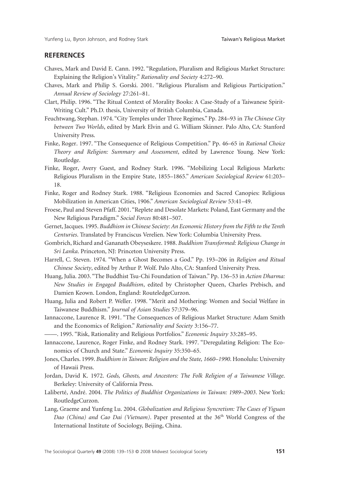# **REFERENCES**

- Chaves, Mark and David E. Cann. 1992. "Regulation, Pluralism and Religious Market Structure: Explaining the Religion's Vitality." *Rationality and Society* 4:272–90.
- Chaves, Mark and Philip S. Gorski. 2001. "Religious Pluralism and Religious Participation." *Annual Review of Sociology* 27:261–81.
- Clart, Philip. 1996. "The Ritual Context of Morality Books: A Case-Study of a Taiwanese Spirit-Writing Cult." Ph.D. thesis, University of British Columbia, Canada.
- Feuchtwang, Stephan. 1974. "City Temples under Three Regimes." Pp. 284–93 in *The Chinese City between Two Worlds*, edited by Mark Elvin and G. William Skinner. Palo Alto, CA: Stanford University Press.
- Finke, Roger. 1997. "The Consequence of Religious Competition." Pp. 46–65 in *Rational Choice Theory and Religion: Summary and Assessment*, edited by Lawrence Young. New York: Routledge.
- Finke, Roger, Avery Guest, and Rodney Stark. 1996. "Mobilizing Local Religious Markets: Religious Pluralism in the Empire State, 1855–1865." *American Sociological Review* 61:203– 18.
- Finke, Roger and Rodney Stark. 1988. "Religious Economies and Sacred Canopies: Religious Mobilization in American Cities, 1906." *American Sociological Review* 53:41–49.
- Froese, Paul and Steven Pfaff. 2001. "Replete and Desolate Markets: Poland, East Germany and the New Religious Paradigm." *Social Forces* 80:481–507.
- Gernet, Jacques. 1995. *Buddhism in Chinese Society: An Economic History from the Fifth to the Tenth Centuries*. Translated by Franciscus Verelien. New York: Columbia University Press.
- Gombrich, Richard and Gananath Obeyseskere. 1988. *Buddhism Transformed: Religious Change in Sri Lanka*. Princeton, NJ: Princeton University Press.
- Harrell, C. Steven. 1974. "When a Ghost Becomes a God." Pp. 193–206 in *Religion and Ritual Chinese Society*, edited by Arthur P. Wolf. Palo Alto, CA: Stanford University Press.
- Huang, Julia. 2003. "The Buddhist Tsu-Chi Foundation of Taiwan." Pp. 136–53 in *Action Dharma: New Studies in Engaged Buddhism*, edited by Christopher Queen, Charles Prebisch, and Damien Keown. London, England: RouteledgeCurzon.
- Huang, Julia and Robert P. Weller. 1998. "Merit and Mothering: Women and Social Welfare in Taiwanese Buddhism." *Journal of Asian Studies* 57:379–96.
- Iannaccone, Laurence R. 1991. "The Consequences of Religious Market Structure: Adam Smith and the Economics of Religion." *Rationality and Society* 3:156–77.
- ——. 1995. "Risk, Rationality and Religious Portfolios." *Economic Inquiry* 33:285–95.
- Iannaccone, Laurence, Roger Finke, and Rodney Stark. 1997. "Deregulating Religion: The Economics of Church and State." *Economic Inquiry* 35:350–65.
- Jones, Charles. 1999. *Buddhism in Taiwan: Religion and the State, 1660–1990*. Honolulu: University of Hawaii Press.
- Jordan, David K. 1972. *Gods, Ghosts, and Ancestors: The Folk Religion of a Taiwanese Village*. Berkeley: University of California Press.
- Laliberté, André. 2004. *The Politics of Buddhist Organizations in Taiwan: 1989–2003*. New York: RoutledgeCurzon.
- Lang, Graeme and Yunfeng Lu. 2004. *Globalization and Religious Syncretism: The Cases of Yiguan Dao (China) and Cao Dai (Vietnam)*. Paper presented at the 36th World Congress of the International Institute of Sociology, Beijing, China.

The Sociological Quarterly **49** (2008) 139–153 © 2008 Midwest Sociological Society **151**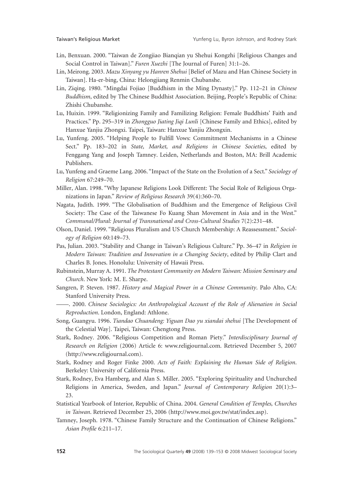- Lin, Benxuan. 2000. "Taiwan de Zongjiao Bianqian yu Shehui Kongzhi [Religious Changes and Social Control in Taiwan]." *Furen Xuezhi* [The Journal of Furen] 31:1–26.
- Lin, Meirong. 2003. *Mazu Xinyang yu Hanren Shehui* [Belief of Mazu and Han Chinese Society in Taiwan]. Ha-er-bing, China: Helongjiang Renmin Chubanshe.
- Lin, Ziqing. 1980. "Mingdai Fojiao [Buddhism in the Ming Dynasty]." Pp. 112–21 in *Chinese Buddhism*, edited by The Chinese Buddhist Association. Beijing, People's Republic of China: Zhishi Chubanshe.
- Lu, Huixin. 1999. "Religionizing Family and Familizing Religion: Female Buddhists' Faith and Practices." Pp. 295–319 in *Zhongguo Jiating Jiqi Lunli* [Chinese Family and Ethics], edited by Hanxue Yanjiu Zhongxi. Taipei, Taiwan: Hanxue Yanjiu Zhongxin.
- Lu, Yunfeng. 2005. "Helping People to Fulfill Vows: Commitment Mechanisms in a Chinese Sect." Pp. 183–202 in *State, Market, and Religions in Chinese Societies*, edited by Fenggang Yang and Joseph Tamney. Leiden, Netherlands and Boston, MA: Brill Academic Publishers.
- Lu, Yunfeng and Graeme Lang. 2006. "Impact of the State on the Evolution of a Sect." *Sociology of Religion* 67:249–70.
- Miller, Alan. 1998. "Why Japanese Religions Look Different: The Social Role of Religious Organizations in Japan." *Review of Religious Research* 39(4):360–70.
- Nagata, Judith. 1999. "The Globalisation of Buddhism and the Emergence of Religious Civil Society: The Case of the Taiwanese Fo Kuang Shan Movement in Asia and in the West." *Communal/Plural: Journal of Transnational and Cross-Cultural Studies* 7(2):231–48.
- Olson, Daniel. 1999. "Religious Pluralism and US Church Membership: A Reassessment." *Sociology of Religion* 60:149–73.
- Pas, Julian. 2003. "Stability and Change in Taiwan's Religious Culture." Pp. 36–47 in *Religion in Modern Taiwan: Tradition and Innovation in a Changing Society*, edited by Philip Clart and Charles B. Jones. Honolulu: University of Hawaii Press.
- Rubinstein, Murray A. 1991. *The Protestant Community on Modern Taiwan: Mission Seminary and Church*. New York: M. E. Sharpe.
- Sangren, P. Steven. 1987. *History and Magical Power in a Chinese Community*. Palo Alto, CA: Stanford University Press.
- ——. 2000. *Chinese Sociologics: An Anthropological Account of the Role of Alienation in Social Reproduction*. London, England: Athlone.
- Song, Guangyu. 1996. *Tiandao Chuandeng: Yiguan Dao yu xiandai shehui* [The Development of the Celestial Way]. Taipei, Taiwan: Chengtong Press.
- Stark, Rodney. 2006. "Religious Competition and Roman Piety." *Interdisciplinary Journal of Research on Religion* (2006) Article 6: [www.religjournal.com.](http://www.religjournal.com) Retrieved December 5, 2007 [\(http://www.religjournal.com](http://www.religjournal.com)).
- Stark, Rodney and Roger Finke 2000. *Acts of Faith: Explaining the Human Side of Religion*. Berkeley: University of California Press.
- Stark, Rodney, Eva Hamberg, and Alan S. Miller. 2005. "Exploring Spirituality and Unchurched Religions in America, Sweden, and Japan." *Journal of Contemporary Religion* 20(1):3– 23.
- Statistical Yearbook of Interior, Republic of China. 2004. *General Condition of Temples, Churches in Taiwan*. Retrieved December 25, 2006 [\(http://www.moi.gov.tw/stat/index.asp\).](http://www.moi.gov.tw/stat/index.asp)
- Tamney, Joseph. 1978. "Chinese Family Structure and the Continuation of Chinese Religions." *Asian Profile* 6:211–17.